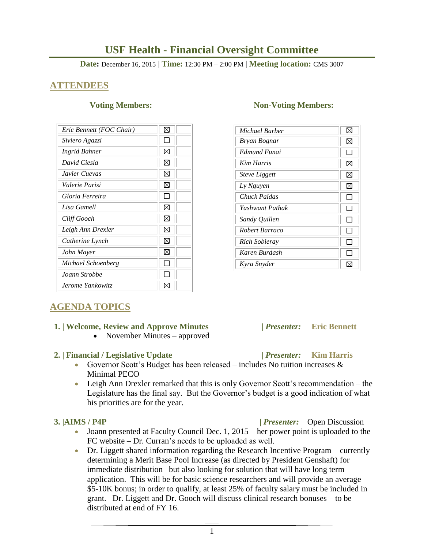# **USF Health - Financial Oversight Committee**

**Date:** December 16, 2015 | **Time:** 12:30 PM – 2:00 PM | **Meeting location:** CMS 3007

## **ATTENDEES**

| Eric Bennett (FOC Chair) | ⊠ |
|--------------------------|---|
| Siviero Agazzi           |   |
| <b>Ingrid Bahner</b>     | ⊠ |
| David Ciesla             | ⊠ |
| Javier Cuevas            | ⊠ |
| Valerie Parisi           | ⊠ |
| Gloria Ferreira          |   |
| Lisa Gamell              | ⊠ |
| Cliff Gooch              | ⊠ |
| Leigh Ann Drexler        | ⊠ |
| Catherine Lynch          | ⊠ |
| John Mayer               | ⊠ |
| Michael Schoenberg       |   |
| Joann Strobbe            |   |
| Jerome Yankowitz         |   |

#### **Voting Members:** Non-Voting Members:

| Michael Barber       | X |
|----------------------|---|
| Bryan Bognar         | ⊠ |
| Edmund Funai         |   |
| Kim Harris           | ⊠ |
| <i>Steve Liggett</i> | ⊠ |
| Ly Nguyen            | ⊠ |
| Chuck Paidas         |   |
| Yashwant Pathak      |   |
| Sandy Quillen        |   |
| Robert Barraco       |   |
| Rich Sobieray        |   |
| Karen Burdash        |   |
| Kyra Snyder          |   |

# **AGENDA TOPICS**

### **1. | Welcome, Review and Approve Minutes****|** *Presenter:* **Eric Bennett**

• November Minutes – approved

### **2. | Financial / Legislative Update |** *Presenter:* **Kim Harris**

- Governor Scott's Budget has been released includes No tuition increases  $\&$ Minimal PECO
- Leigh Ann Drexler remarked that this is only Governor Scott's recommendation the Legislature has the final say. But the Governor's budget is a good indication of what his priorities are for the year.

- $\bullet$  Joann presented at Faculty Council Dec. 1, 2015 her power point is uploaded to the FC website – Dr. Curran's needs to be uploaded as well.
- Dr. Liggett shared information regarding the Research Incentive Program currently determining a Merit Base Pool Increase (as directed by President Genshaft) for immediate distribution– but also looking for solution that will have long term application. This will be for basic science researchers and will provide an average \$5-10K bonus; in order to qualify, at least 25% of faculty salary must be included in grant. Dr. Liggett and Dr. Gooch will discuss clinical research bonuses – to be distributed at end of FY 16.

 **3. |AIMS / P4P |** *Presenter:* Open Discussion